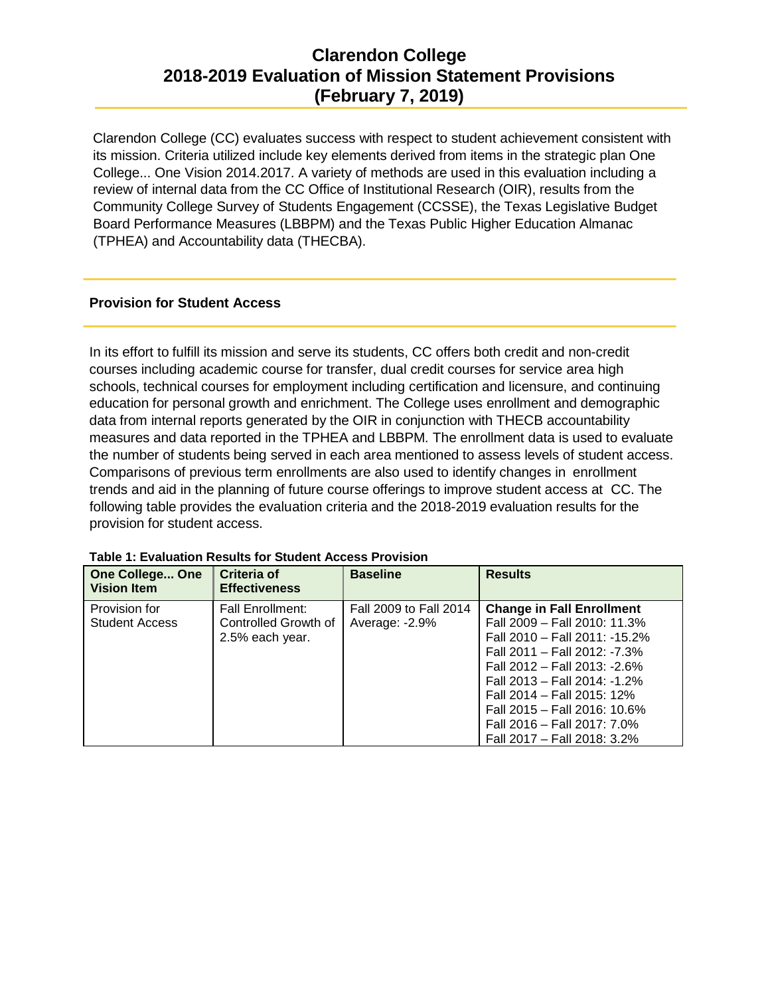Clarendon College (CC) evaluates success with respect to student achievement consistent with its mission. Criteria utilized include key elements derived from items in the strategic plan One College... One Vision 2014.2017. A variety of methods are used in this evaluation including a review of internal data from the CC Office of Institutional Research (OIR), results from the Community College Survey of Students Engagement (CCSSE), the Texas Legislative Budget Board Performance Measures (LBBPM) and the Texas Public Higher Education Almanac (TPHEA) and Accountability data (THECBA).

#### **Provision for Student Access**

In its effort to fulfill its mission and serve its students, CC offers both credit and non-credit courses including academic course for transfer, dual credit courses for service area high schools, technical courses for employment including certification and licensure, and continuing education for personal growth and enrichment. The College uses enrollment and demographic data from internal reports generated by the OIR in conjunction with THECB accountability measures and data reported in the TPHEA and LBBPM. The enrollment data is used to evaluate the number of students being served in each area mentioned to assess levels of student access. Comparisons of previous term enrollments are also used to identify changes in enrollment trends and aid in the planning of future course offerings to improve student access at CC. The following table provides the evaluation criteria and the 2018-2019 evaluation results for the provision for student access.

| <b>One College One</b><br><b>Vision Item</b> | <b>Criteria of</b><br><b>Effectiveness</b>                         | <b>Baseline</b>                          | <b>Results</b>                                                                                                                                                                                                                                                                                                                |
|----------------------------------------------|--------------------------------------------------------------------|------------------------------------------|-------------------------------------------------------------------------------------------------------------------------------------------------------------------------------------------------------------------------------------------------------------------------------------------------------------------------------|
| Provision for<br><b>Student Access</b>       | <b>Fall Enrollment:</b><br>Controlled Growth of<br>2.5% each year. | Fall 2009 to Fall 2014<br>Average: -2.9% | <b>Change in Fall Enrollment</b><br>Fall 2009 - Fall 2010: 11.3%<br>Fall 2010 - Fall 2011: -15.2%<br>Fall 2011 - Fall 2012: -7.3%<br>Fall 2012 - Fall 2013: -2.6%<br>Fall 2013 - Fall 2014: -1.2%<br>Fall 2014 - Fall 2015: 12%<br>Fall 2015 - Fall 2016: 10.6%<br>Fall 2016 - Fall 2017: 7.0%<br>Fall 2017 - Fall 2018: 3.2% |

**Table 1: Evaluation Results for Student Access Provision**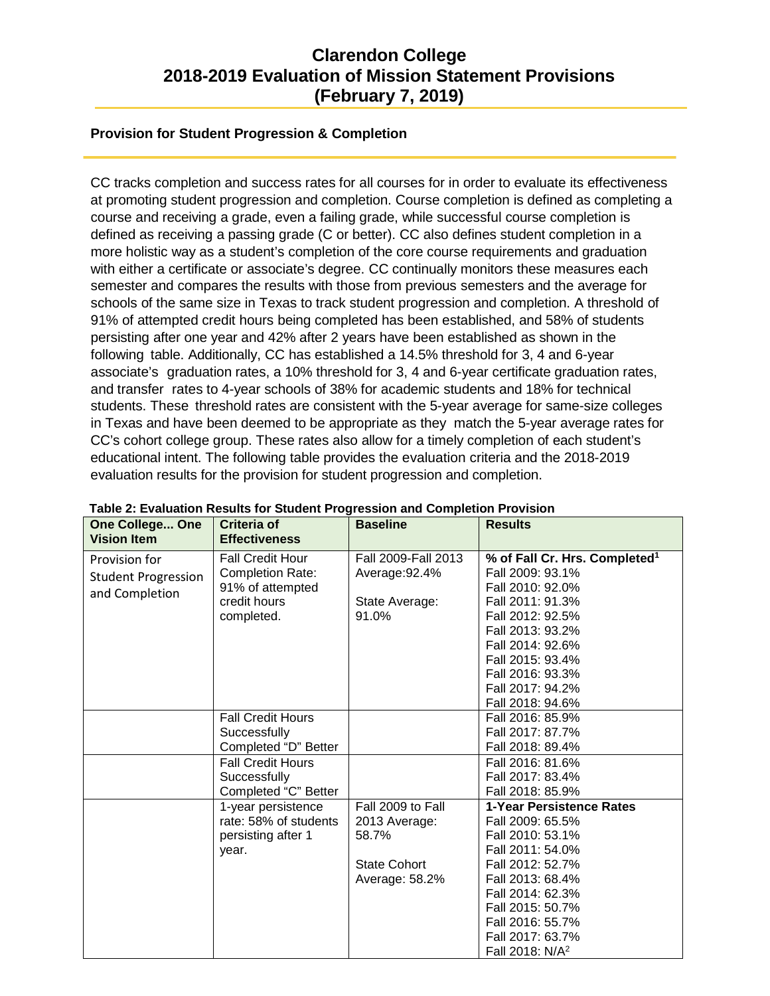#### **Provision for Student Progression & Completion**

CC tracks completion and success rates for all courses for in order to evaluate its effectiveness at promoting student progression and completion. Course completion is defined as completing a course and receiving a grade, even a failing grade, while successful course completion is defined as receiving a passing grade (C or better). CC also defines student completion in a more holistic way as a student's completion of the core course requirements and graduation with either a certificate or associate's degree. CC continually monitors these measures each semester and compares the results with those from previous semesters and the average for schools of the same size in Texas to track student progression and completion. A threshold of 91% of attempted credit hours being completed has been established, and 58% of students persisting after one year and 42% after 2 years have been established as shown in the following table. Additionally, CC has established a 14.5% threshold for 3, 4 and 6-year associate's graduation rates, a 10% threshold for 3, 4 and 6-year certificate graduation rates, and transfer rates to 4-year schools of 38% for academic students and 18% for technical students. These threshold rates are consistent with the 5-year average for same-size colleges in Texas and have been deemed to be appropriate as they match the 5-year average rates for CC's cohort college group. These rates also allow for a timely completion of each student's educational intent. The following table provides the evaluation criteria and the 2018-2019 evaluation results for the provision for student progression and completion.

| <b>One College One</b>     | Table 2: Evaluation Results for Student Progression and Completion Provision<br>Criteria of | <b>Baseline</b>     | <b>Results</b>                            |
|----------------------------|---------------------------------------------------------------------------------------------|---------------------|-------------------------------------------|
| <b>Vision Item</b>         | <b>Effectiveness</b>                                                                        |                     |                                           |
| Provision for              | <b>Fall Credit Hour</b>                                                                     | Fall 2009-Fall 2013 | % of Fall Cr. Hrs. Completed <sup>1</sup> |
| <b>Student Progression</b> | <b>Completion Rate:</b>                                                                     | Average: 92.4%      | Fall 2009: 93.1%                          |
| and Completion             | 91% of attempted                                                                            |                     | Fall 2010: 92.0%                          |
|                            | credit hours                                                                                | State Average:      | Fall 2011: 91.3%                          |
|                            | completed.                                                                                  | 91.0%               | Fall 2012: 92.5%                          |
|                            |                                                                                             |                     | Fall 2013: 93.2%                          |
|                            |                                                                                             |                     | Fall 2014: 92.6%                          |
|                            |                                                                                             |                     | Fall 2015: 93.4%                          |
|                            |                                                                                             |                     | Fall 2016: 93.3%                          |
|                            |                                                                                             |                     | Fall 2017: 94.2%                          |
|                            |                                                                                             |                     | Fall 2018: 94.6%                          |
|                            | <b>Fall Credit Hours</b>                                                                    |                     | Fall 2016: 85.9%                          |
|                            | Successfully                                                                                |                     | Fall 2017: 87.7%                          |
|                            | Completed "D" Better                                                                        |                     | Fall 2018: 89.4%                          |
|                            | <b>Fall Credit Hours</b>                                                                    |                     | Fall 2016: 81.6%                          |
|                            | Successfully                                                                                |                     | Fall 2017: 83.4%                          |
|                            | Completed "C" Better                                                                        |                     | Fall 2018: 85.9%                          |
|                            | 1-year persistence                                                                          | Fall 2009 to Fall   | 1-Year Persistence Rates                  |
|                            | rate: 58% of students                                                                       | 2013 Average:       | Fall 2009: 65.5%                          |
|                            | persisting after 1                                                                          | 58.7%               | Fall 2010: 53.1%                          |
|                            | year.                                                                                       |                     | Fall 2011: 54.0%                          |
|                            |                                                                                             | <b>State Cohort</b> | Fall 2012: 52.7%                          |
|                            |                                                                                             | Average: 58.2%      | Fall 2013: 68.4%                          |
|                            |                                                                                             |                     | Fall 2014: 62.3%                          |
|                            |                                                                                             |                     | Fall 2015: 50.7%                          |
|                            |                                                                                             |                     | Fall 2016: 55.7%                          |
|                            |                                                                                             |                     | Fall 2017: 63.7%                          |
|                            |                                                                                             |                     | Fall 2018: N/A <sup>2</sup>               |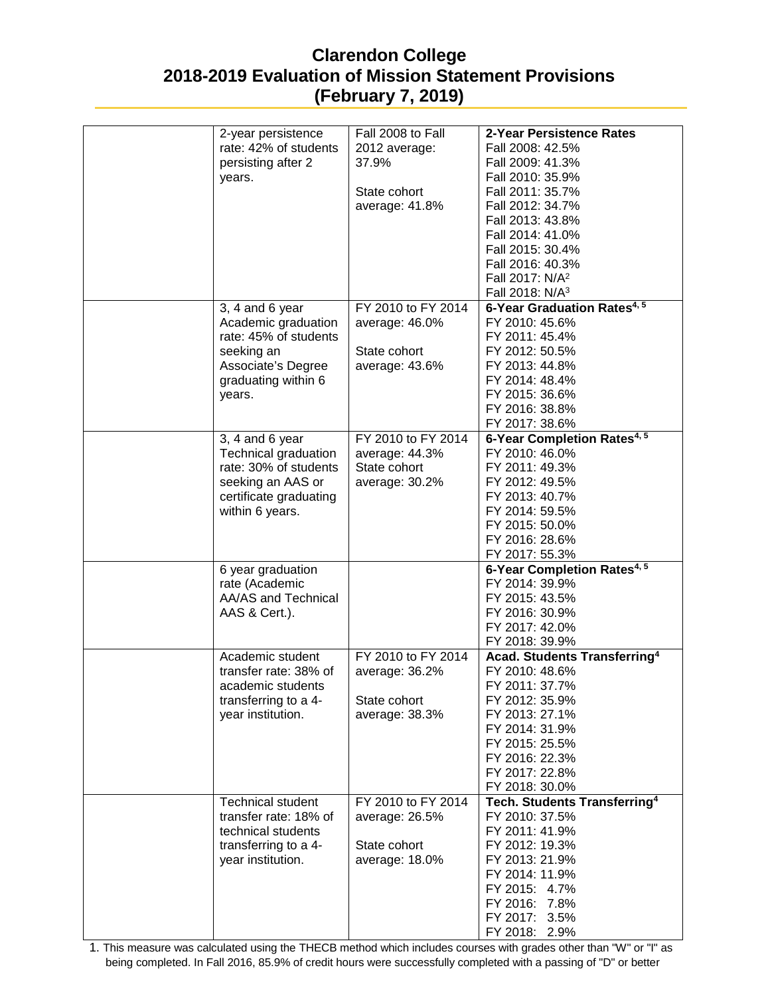| 2-year persistence       | Fall 2008 to Fall  | 2-Year Persistence Rates                 |
|--------------------------|--------------------|------------------------------------------|
| rate: 42% of students    | 2012 average:      | Fall 2008: 42.5%                         |
| persisting after 2       | 37.9%              | Fall 2009: 41.3%                         |
| years.                   |                    | Fall 2010: 35.9%                         |
|                          | State cohort       | Fall 2011: 35.7%                         |
|                          | average: 41.8%     | Fall 2012: 34.7%                         |
|                          |                    | Fall 2013: 43.8%                         |
|                          |                    | Fall 2014: 41.0%                         |
|                          |                    | Fall 2015: 30.4%                         |
|                          |                    | Fall 2016: 40.3%                         |
|                          |                    | Fall 2017: N/A <sup>2</sup>              |
|                          |                    |                                          |
|                          |                    | Fall 2018: N/A <sup>3</sup>              |
| 3, 4 and 6 year          | FY 2010 to FY 2014 | 6-Year Graduation Rates <sup>4, 5</sup>  |
| Academic graduation      | average: 46.0%     | FY 2010: 45.6%                           |
| rate: 45% of students    |                    | FY 2011: 45.4%                           |
| seeking an               | State cohort       | FY 2012: 50.5%                           |
| Associate's Degree       | average: 43.6%     | FY 2013: 44.8%                           |
| graduating within 6      |                    | FY 2014: 48.4%                           |
| years.                   |                    | FY 2015: 36.6%                           |
|                          |                    | FY 2016: 38.8%                           |
|                          |                    | FY 2017: 38.6%                           |
| $3, 4$ and 6 year        | FY 2010 to FY 2014 | 6-Year Completion Rates <sup>4, 5</sup>  |
| Technical graduation     | average: 44.3%     | FY 2010: 46.0%                           |
| rate: 30% of students    | State cohort       | FY 2011: 49.3%                           |
|                          |                    |                                          |
| seeking an AAS or        | average: 30.2%     | FY 2012: 49.5%                           |
| certificate graduating   |                    | FY 2013: 40.7%                           |
| within 6 years.          |                    | FY 2014: 59.5%                           |
|                          |                    | FY 2015: 50.0%                           |
|                          |                    | FY 2016: 28.6%                           |
|                          |                    | FY 2017: 55.3%                           |
| 6 year graduation        |                    | 6-Year Completion Rates <sup>4,5</sup>   |
| rate (Academic           |                    | FY 2014: 39.9%                           |
| AA/AS and Technical      |                    | FY 2015: 43.5%                           |
| AAS & Cert.).            |                    | FY 2016: 30.9%                           |
|                          |                    | FY 2017: 42.0%                           |
|                          |                    | FY 2018: 39.9%                           |
| Academic student         | FY 2010 to FY 2014 | <b>Acad. Students Transferring4</b>      |
| transfer rate: 38% of    | average: 36.2%     | FY 2010: 48.6%                           |
| academic students        |                    | FY 2011: 37.7%                           |
| transferring to a 4-     | State cohort       | FY 2012: 35.9%                           |
| year institution.        |                    | FY 2013: 27.1%                           |
|                          | average: 38.3%     |                                          |
|                          |                    | FY 2014: 31.9%                           |
|                          |                    | FY 2015: 25.5%                           |
|                          |                    | FY 2016: 22.3%                           |
|                          |                    | FY 2017: 22.8%                           |
|                          |                    | FY 2018: 30.0%                           |
| <b>Technical student</b> | FY 2010 to FY 2014 | Tech. Students Transferring <sup>4</sup> |
| transfer rate: 18% of    | average: 26.5%     | FY 2010: 37.5%                           |
| technical students       |                    | FY 2011: 41.9%                           |
| transferring to a 4-     | State cohort       | FY 2012: 19.3%                           |
| year institution.        | average: 18.0%     | FY 2013: 21.9%                           |
|                          |                    | FY 2014: 11.9%                           |
|                          |                    | FY 2015: 4.7%                            |
|                          |                    | FY 2016: 7.8%                            |
|                          |                    |                                          |
|                          |                    | FY 2017: 3.5%                            |
|                          |                    | FY 2018: 2.9%                            |

1. This measure was calculated using the THECB method which includes courses with grades other than "W" or "I" as being completed. In Fall 2016, 85.9% of credit hours were successfully completed with a passing of "D" or better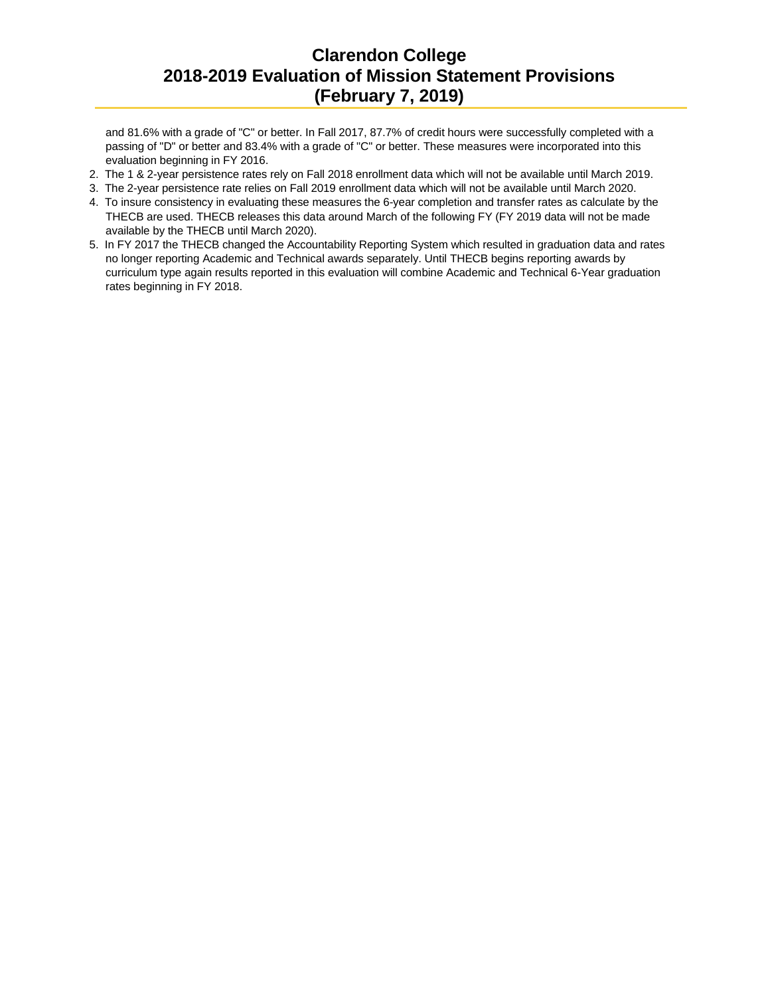and 81.6% with a grade of "C" or better. In Fall 2017, 87.7% of credit hours were successfully completed with a passing of "D" or better and 83.4% with a grade of "C" or better. These measures were incorporated into this evaluation beginning in FY 2016.

- 2. The 1 & 2-year persistence rates rely on Fall 2018 enrollment data which will not be available until March 2019.
- 3. The 2-year persistence rate relies on Fall 2019 enrollment data which will not be available until March 2020.
- 4. To insure consistency in evaluating these measures the 6-year completion and transfer rates as calculate by the THECB are used. THECB releases this data around March of the following FY (FY 2019 data will not be made available by the THECB until March 2020).
- 5. In FY 2017 the THECB changed the Accountability Reporting System which resulted in graduation data and rates no longer reporting Academic and Technical awards separately. Until THECB begins reporting awards by curriculum type again results reported in this evaluation will combine Academic and Technical 6-Year graduation rates beginning in FY 2018.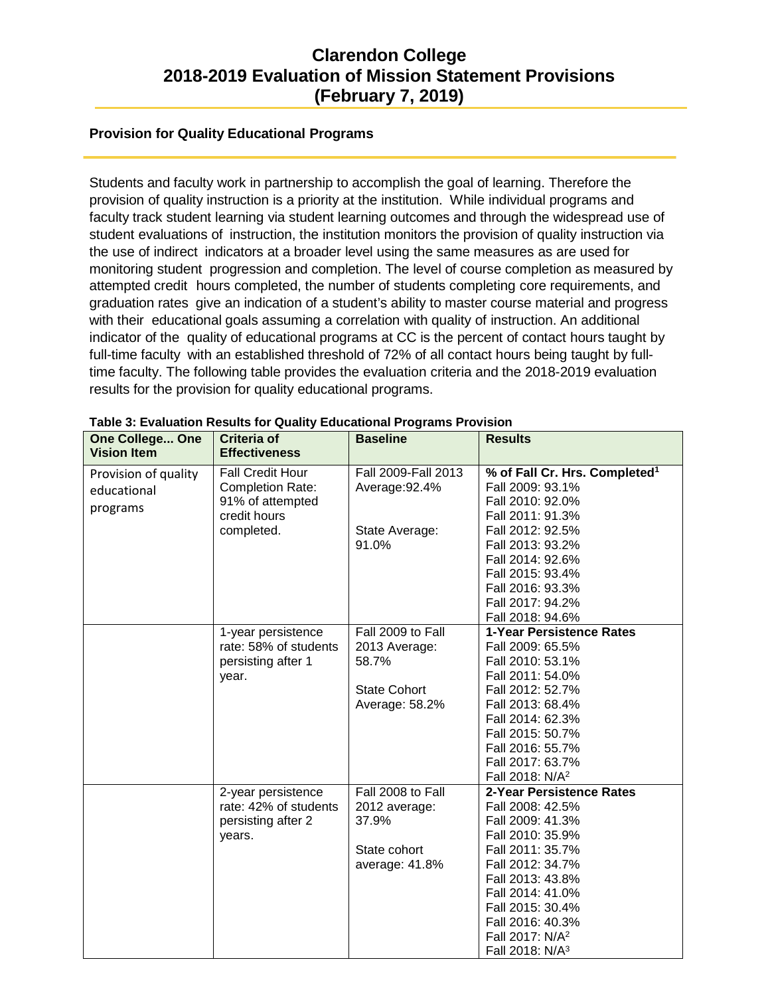#### **Provision for Quality Educational Programs**

Students and faculty work in partnership to accomplish the goal of learning. Therefore the provision of quality instruction is a priority at the institution. While individual programs and faculty track student learning via student learning outcomes and through the widespread use of student evaluations of instruction, the institution monitors the provision of quality instruction via the use of indirect indicators at a broader level using the same measures as are used for monitoring student progression and completion. The level of course completion as measured by attempted credit hours completed, the number of students completing core requirements, and graduation rates give an indication of a student's ability to master course material and progress with their educational goals assuming a correlation with quality of instruction. An additional indicator of the quality of educational programs at CC is the percent of contact hours taught by full-time faculty with an established threshold of 72% of all contact hours being taught by fulltime faculty. The following table provides the evaluation criteria and the 2018-2019 evaluation results for the provision for quality educational programs.

| <b>One College One</b><br><b>Vision Item</b> | <b>Criteria of</b><br><b>Effectiveness</b>  | - www.noritai i ivyi<br><b>Baseline</b> | <b>Results</b>                                          |
|----------------------------------------------|---------------------------------------------|-----------------------------------------|---------------------------------------------------------|
| Provision of quality                         | <b>Fall Credit Hour</b>                     | Fall 2009-Fall 2013                     | % of Fall Cr. Hrs. Completed <sup>1</sup>               |
| educational                                  | <b>Completion Rate:</b>                     | Average: 92.4%                          | Fall 2009: 93.1%                                        |
|                                              | 91% of attempted                            |                                         | Fall 2010: 92.0%                                        |
| programs                                     | credit hours                                |                                         | Fall 2011: 91.3%                                        |
|                                              | completed.                                  | State Average:                          | Fall 2012: 92.5%                                        |
|                                              |                                             | 91.0%                                   | Fall 2013: 93.2%                                        |
|                                              |                                             |                                         | Fall 2014: 92.6%                                        |
|                                              |                                             |                                         | Fall 2015: 93.4%                                        |
|                                              |                                             |                                         | Fall 2016: 93.3%                                        |
|                                              |                                             |                                         | Fall 2017: 94.2%                                        |
|                                              |                                             |                                         | Fall 2018: 94.6%                                        |
|                                              | 1-year persistence                          | Fall 2009 to Fall                       | 1-Year Persistence Rates                                |
|                                              | rate: 58% of students                       | 2013 Average:                           | Fall 2009: 65.5%                                        |
|                                              | persisting after 1                          | 58.7%                                   | Fall 2010: 53.1%                                        |
|                                              | year.                                       |                                         | Fall 2011: 54.0%                                        |
|                                              |                                             | <b>State Cohort</b>                     | Fall 2012: 52.7%                                        |
|                                              |                                             | Average: 58.2%                          | Fall 2013: 68.4%                                        |
|                                              |                                             |                                         | Fall 2014: 62.3%                                        |
|                                              |                                             |                                         | Fall 2015: 50.7%                                        |
|                                              |                                             |                                         | Fall 2016: 55.7%                                        |
|                                              |                                             |                                         | Fall 2017: 63.7%                                        |
|                                              |                                             | Fall 2008 to Fall                       | Fall 2018: N/A <sup>2</sup><br>2-Year Persistence Rates |
|                                              | 2-year persistence<br>rate: 42% of students | 2012 average:                           | Fall 2008: 42.5%                                        |
|                                              | persisting after 2                          | 37.9%                                   | Fall 2009: 41.3%                                        |
|                                              | years.                                      |                                         | Fall 2010: 35.9%                                        |
|                                              |                                             | State cohort                            | Fall 2011: 35.7%                                        |
|                                              |                                             | average: 41.8%                          | Fall 2012: 34.7%                                        |
|                                              |                                             |                                         | Fall 2013: 43.8%                                        |
|                                              |                                             |                                         | Fall 2014: 41.0%                                        |
|                                              |                                             |                                         | Fall 2015: 30.4%                                        |
|                                              |                                             |                                         | Fall 2016: 40.3%                                        |
|                                              |                                             |                                         | Fall 2017: N/A <sup>2</sup>                             |
|                                              |                                             |                                         | Fall 2018: N/A <sup>3</sup>                             |

|  | Table 3: Evaluation Results for Quality Educational Programs Provision |  |  |  |  |  |
|--|------------------------------------------------------------------------|--|--|--|--|--|
|--|------------------------------------------------------------------------|--|--|--|--|--|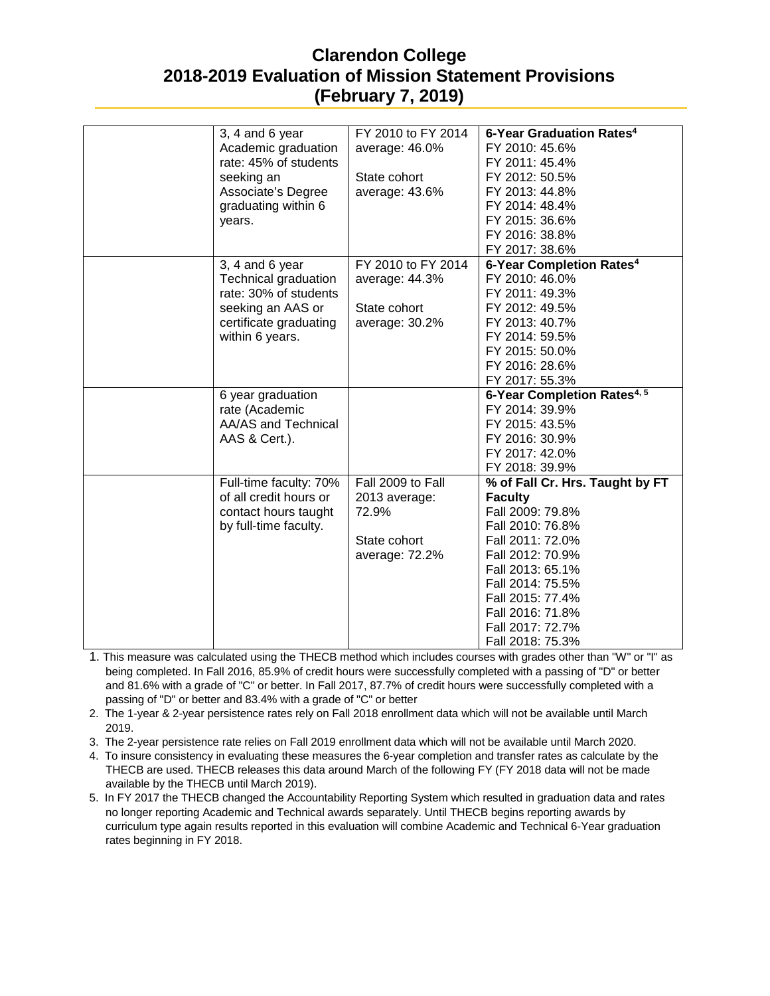| 3, 4 and 6 year                  | FY 2010 to FY 2014 | 6-Year Graduation Rates <sup>4</sup>    |
|----------------------------------|--------------------|-----------------------------------------|
| Academic graduation              | average: 46.0%     | FY 2010: 45.6%                          |
| rate: 45% of students            |                    | FY 2011: 45.4%                          |
|                                  | State cohort       | FY 2012: 50.5%                          |
| seeking an<br>Associate's Degree | average: 43.6%     | FY 2013: 44.8%                          |
|                                  |                    |                                         |
| graduating within 6              |                    | FY 2014: 48.4%                          |
| years.                           |                    | FY 2015: 36.6%                          |
|                                  |                    | FY 2016: 38.8%                          |
|                                  |                    | FY 2017: 38.6%                          |
| 3, 4 and 6 year                  | FY 2010 to FY 2014 | 6-Year Completion Rates <sup>4</sup>    |
| Technical graduation             | average: 44.3%     | FY 2010: 46.0%                          |
| rate: 30% of students            |                    | FY 2011: 49.3%                          |
| seeking an AAS or                | State cohort       | FY 2012: 49.5%                          |
| certificate graduating           | average: 30.2%     | FY 2013: 40.7%                          |
| within 6 years.                  |                    | FY 2014: 59.5%                          |
|                                  |                    | FY 2015: 50.0%                          |
|                                  |                    | FY 2016: 28.6%                          |
|                                  |                    | FY 2017: 55.3%                          |
| 6 year graduation                |                    | 6-Year Completion Rates <sup>4, 5</sup> |
| rate (Academic                   |                    | FY 2014: 39.9%                          |
| AA/AS and Technical              |                    | FY 2015: 43.5%                          |
| AAS & Cert.).                    |                    | FY 2016: 30.9%                          |
|                                  |                    | FY 2017: 42.0%                          |
|                                  |                    | FY 2018: 39.9%                          |
| Full-time faculty: 70%           | Fall 2009 to Fall  | % of Fall Cr. Hrs. Taught by FT         |
| of all credit hours or           | 2013 average:      | <b>Faculty</b>                          |
| contact hours taught             | 72.9%              | Fall 2009: 79.8%                        |
| by full-time faculty.            |                    | Fall 2010: 76.8%                        |
|                                  | State cohort       | Fall 2011: 72.0%                        |
|                                  | average: 72.2%     | Fall 2012: 70.9%                        |
|                                  |                    | Fall 2013: 65.1%                        |
|                                  |                    | Fall 2014: 75.5%                        |
|                                  |                    |                                         |
|                                  |                    | Fall 2015: 77.4%                        |
|                                  |                    | Fall 2016: 71.8%                        |
|                                  |                    | Fall 2017: 72.7%                        |

1. This measure was calculated using the THECB method which includes courses with grades other than "W" or "I" as being completed. In Fall 2016, 85.9% of credit hours were successfully completed with a passing of "D" or better and 81.6% with a grade of "C" or better. In Fall 2017, 87.7% of credit hours were successfully completed with a passing of "D" or better and 83.4% with a grade of "C" or better

2. The 1-year & 2-year persistence rates rely on Fall 2018 enrollment data which will not be available until March 2019.

3. The 2-year persistence rate relies on Fall 2019 enrollment data which will not be available until March 2020.

4. To insure consistency in evaluating these measures the 6-year completion and transfer rates as calculate by the THECB are used. THECB releases this data around March of the following FY (FY 2018 data will not be made available by the THECB until March 2019).

5. In FY 2017 the THECB changed the Accountability Reporting System which resulted in graduation data and rates no longer reporting Academic and Technical awards separately. Until THECB begins reporting awards by curriculum type again results reported in this evaluation will combine Academic and Technical 6-Year graduation rates beginning in FY 2018.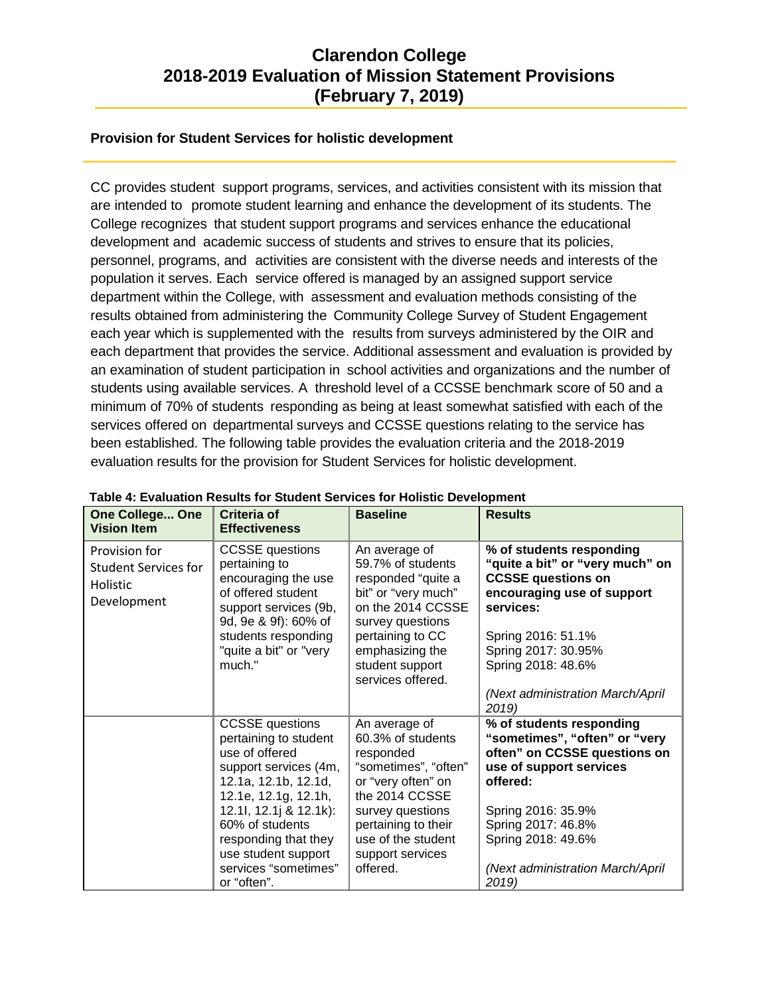#### **Provision for Student Services for holistic development**

CC provides student support programs, services, and activities consistent with its mission that are intended to promote student learning and enhance the development of its students. The College recognizes that student support programs and services enhance the educational development and academic success of students and strives to ensure that its policies, personnel, programs, and activities are consistent with the diverse needs and interests of the population it serves. Each service offered is managed by an assigned support service department within the College, with assessment and evaluation methods consisting of the results obtained from administering the Community College Survey of Student Engagement each year which is supplemented with the results from surveys administered by the OIR and each department that provides the service. Additional assessment and evaluation is provided by an examination of student participation in school activities and organizations and the number of students using available services. A threshold level of a CCSSE benchmark score of 50 and a minimum of 70% of students responding as being at least somewhat satisfied with each of the services offered on departmental surveys and CCSSE questions relating to the service has been established. The following table provides the evaluation criteria and the 2018-2019 evaluation results for the provision for Student Services for holistic development.

| <b>One College One</b><br><b>Vision Item</b>                            | Criteria of<br><b>Effectiveness</b>                                                                                                                                                                                                                                           | <b>Baseline</b>                                                                                                                                                                                                  | <b>Results</b>                                                                                                                                                                                                                                      |
|-------------------------------------------------------------------------|-------------------------------------------------------------------------------------------------------------------------------------------------------------------------------------------------------------------------------------------------------------------------------|------------------------------------------------------------------------------------------------------------------------------------------------------------------------------------------------------------------|-----------------------------------------------------------------------------------------------------------------------------------------------------------------------------------------------------------------------------------------------------|
| Provision for<br><b>Student Services for</b><br>Holistic<br>Development | <b>CCSSE</b> questions<br>pertaining to<br>encouraging the use<br>of offered student<br>support services (9b,<br>9d, 9e & 9f): 60% of<br>students responding<br>"quite a bit" or "very<br>much."                                                                              | An average of<br>59.7% of students<br>responded "quite a<br>bit" or "very much"<br>on the 2014 CCSSE<br>survey questions<br>pertaining to CC<br>emphasizing the<br>student support<br>services offered.          | % of students responding<br>"quite a bit" or "very much" on<br><b>CCSSE questions on</b><br>encouraging use of support<br>services:<br>Spring 2016: 51.1%<br>Spring 2017: 30.95%<br>Spring 2018: 48.6%<br>(Next administration March/April<br>2019) |
|                                                                         | <b>CCSSE</b> questions<br>pertaining to student<br>use of offered<br>support services (4m,<br>12.1a, 12.1b, 12.1d,<br>12.1e, 12.1g, 12.1h,<br>12.1l, 12.1j & 12.1k):<br>60% of students<br>responding that they<br>use student support<br>services "sometimes"<br>or "often". | An average of<br>60.3% of students<br>responded<br>"sometimes", "often"<br>or "very often" on<br>the 2014 CCSSE<br>survey questions<br>pertaining to their<br>use of the student<br>support services<br>offered. | % of students responding<br>"sometimes", "often" or "very<br>often" on CCSSE questions on<br>use of support services<br>offered:<br>Spring 2016: 35.9%<br>Spring 2017: 46.8%<br>Spring 2018: 49.6%<br>(Next administration March/April<br>2019)     |

#### **Table 4: Evaluation Results for Student Services for Holistic Development**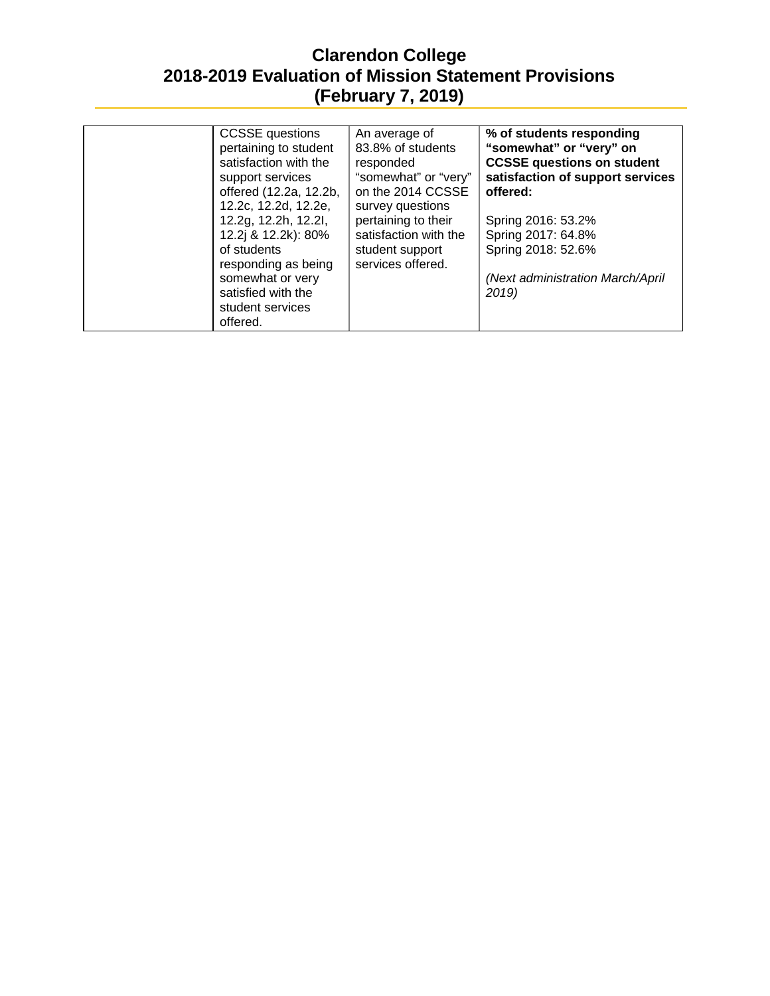| <b>CCSSE</b> questions<br>pertaining to student<br>satisfaction with the<br>support services<br>offered (12.2a, 12.2b,<br>12.2c, 12.2d, 12.2e,              | An average of<br>83.8% of students<br>responded<br>"somewhat" or "very"<br>on the 2014 CCSSE<br>survey questions | % of students responding<br>"somewhat" or "very" on<br><b>CCSSE questions on student</b><br>satisfaction of support services<br>offered: |
|-------------------------------------------------------------------------------------------------------------------------------------------------------------|------------------------------------------------------------------------------------------------------------------|------------------------------------------------------------------------------------------------------------------------------------------|
| 12.2g, 12.2h, 12.2l,<br>12.2j & 12.2k): 80%<br>of students<br>responding as being<br>somewhat or very<br>satisfied with the<br>student services<br>offered. | pertaining to their<br>satisfaction with the<br>student support<br>services offered.                             | Spring 2016: 53.2%<br>Spring 2017: 64.8%<br>Spring 2018: 52.6%<br>(Next administration March/April<br>2019)                              |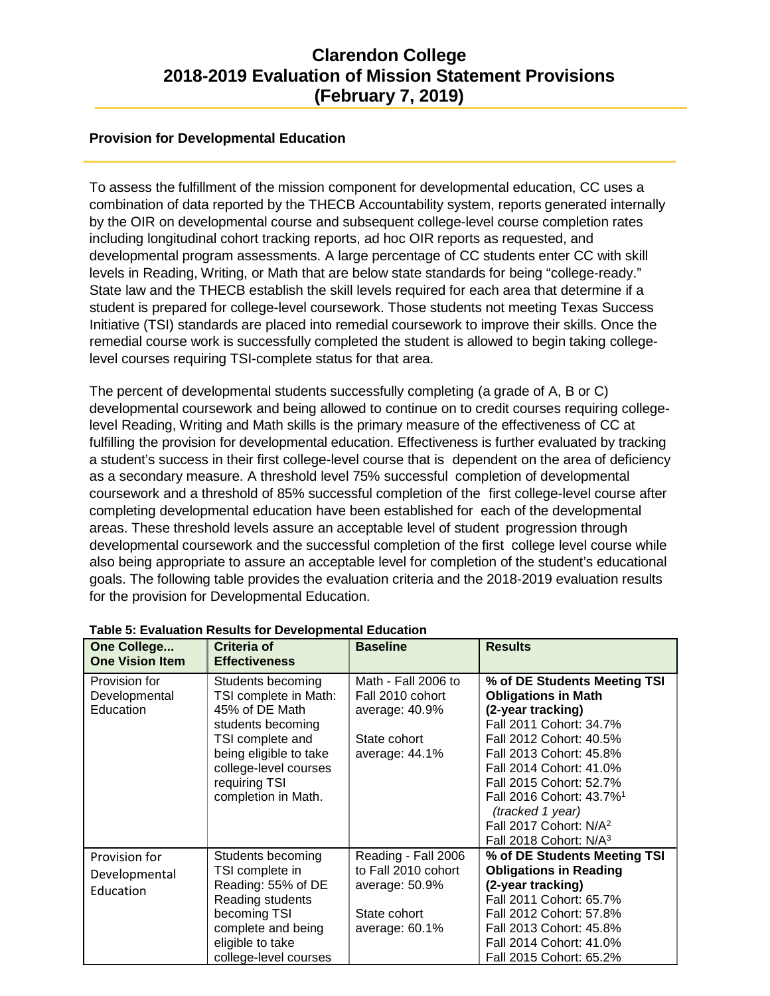#### **Provision for Developmental Education**

To assess the fulfillment of the mission component for developmental education, CC uses a combination of data reported by the THECB Accountability system, reports generated internally by the OIR on developmental course and subsequent college-level course completion rates including longitudinal cohort tracking reports, ad hoc OIR reports as requested, and developmental program assessments. A large percentage of CC students enter CC with skill levels in Reading, Writing, or Math that are below state standards for being "college-ready." State law and the THECB establish the skill levels required for each area that determine if a student is prepared for college-level coursework. Those students not meeting Texas Success Initiative (TSI) standards are placed into remedial coursework to improve their skills. Once the remedial course work is successfully completed the student is allowed to begin taking collegelevel courses requiring TSI-complete status for that area.

The percent of developmental students successfully completing (a grade of A, B or C) developmental coursework and being allowed to continue on to credit courses requiring collegelevel Reading, Writing and Math skills is the primary measure of the effectiveness of CC at fulfilling the provision for developmental education. Effectiveness is further evaluated by tracking a student's success in their first college-level course that is dependent on the area of deficiency as a secondary measure. A threshold level 75% successful completion of developmental coursework and a threshold of 85% successful completion of the first college-level course after completing developmental education have been established for each of the developmental areas. These threshold levels assure an acceptable level of student progression through developmental coursework and the successful completion of the first college level course while also being appropriate to assure an acceptable level for completion of the student's educational goals. The following table provides the evaluation criteria and the 2018-2019 evaluation results for the provision for Developmental Education.

| One College<br><b>One Vision Item</b>       | Criteria of<br><b>Effectiveness</b>                                                                                                                                                              | <b>Baseline</b>                                                                                   | <b>Results</b>                                                                                                                                                                                                                                                                                                                                                 |
|---------------------------------------------|--------------------------------------------------------------------------------------------------------------------------------------------------------------------------------------------------|---------------------------------------------------------------------------------------------------|----------------------------------------------------------------------------------------------------------------------------------------------------------------------------------------------------------------------------------------------------------------------------------------------------------------------------------------------------------------|
| Provision for<br>Developmental<br>Education | Students becoming<br>TSI complete in Math:<br>45% of DE Math<br>students becoming<br>TSI complete and<br>being eligible to take<br>college-level courses<br>requiring TSI<br>completion in Math. | Math - Fall 2006 to<br>Fall 2010 cohort<br>average: 40.9%<br>State cohort<br>average: 44.1%       | % of DE Students Meeting TSI<br><b>Obligations in Math</b><br>(2-year tracking)<br>Fall 2011 Cohort: 34.7%<br>Fall 2012 Cohort: 40.5%<br>Fall 2013 Cohort: 45.8%<br>Fall 2014 Cohort: 41.0%<br>Fall 2015 Cohort: 52.7%<br>Fall 2016 Cohort: 43.7% <sup>1</sup><br>(tracked 1 year)<br>Fall 2017 Cohort: N/A <sup>2</sup><br>Fall 2018 Cohort: N/A <sup>3</sup> |
| Provision for<br>Developmental<br>Education | Students becoming<br>TSI complete in<br>Reading: 55% of DE<br>Reading students<br>becoming TSI<br>complete and being<br>eligible to take<br>college-level courses                                | Reading - Fall 2006<br>to Fall 2010 cohort<br>average: 50.9%<br>State cohort<br>average: $60.1\%$ | % of DE Students Meeting TSI<br><b>Obligations in Reading</b><br>(2-year tracking)<br>Fall 2011 Cohort: 65.7%<br>Fall 2012 Cohort: 57.8%<br>Fall 2013 Cohort: 45.8%<br>Fall 2014 Cohort: 41.0%<br>Fall 2015 Cohort: 65.2%                                                                                                                                      |

#### **Table 5: Evaluation Results for Developmental Education**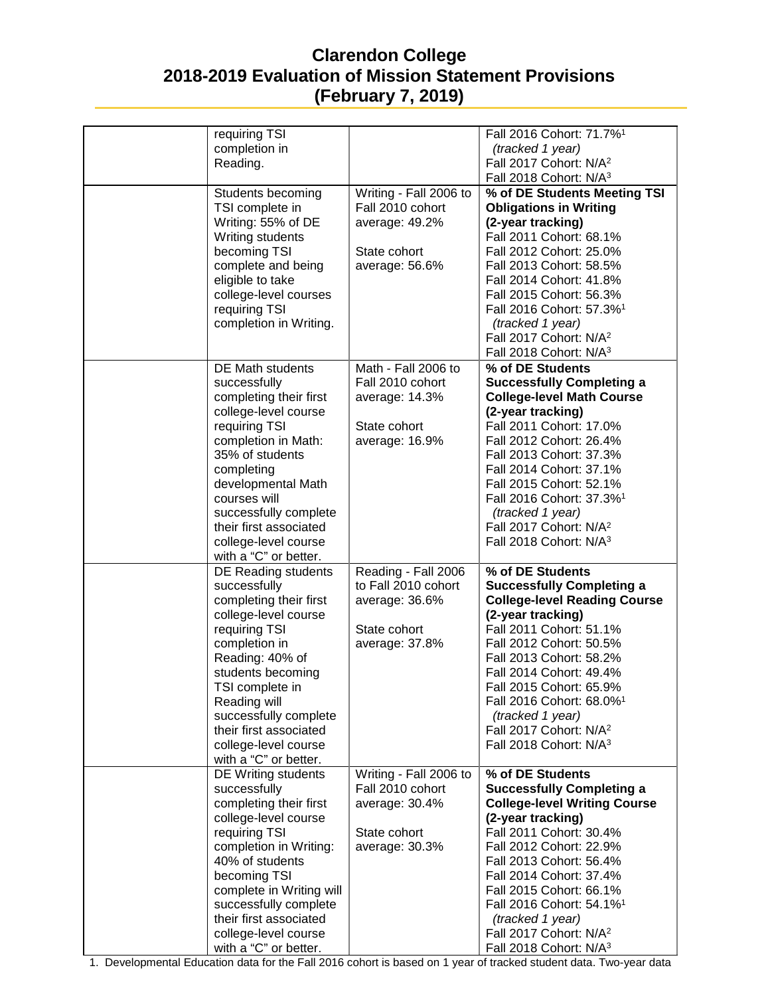| requiring TSI<br>completion in<br>Reading.                                                                                                                                                                                                                                                                   |                                                                                                | Fall 2016 Cohort: 71.7% <sup>1</sup><br>(tracked 1 year)<br>Fall 2017 Cohort: N/A <sup>2</sup>                                                                                                                                                                                                                                                                                                  |
|--------------------------------------------------------------------------------------------------------------------------------------------------------------------------------------------------------------------------------------------------------------------------------------------------------------|------------------------------------------------------------------------------------------------|-------------------------------------------------------------------------------------------------------------------------------------------------------------------------------------------------------------------------------------------------------------------------------------------------------------------------------------------------------------------------------------------------|
|                                                                                                                                                                                                                                                                                                              |                                                                                                | Fall 2018 Cohort: N/A <sup>3</sup>                                                                                                                                                                                                                                                                                                                                                              |
| Students becoming<br>TSI complete in<br>Writing: 55% of DE<br>Writing students<br>becoming TSI<br>complete and being<br>eligible to take<br>college-level courses<br>requiring TSI<br>completion in Writing.                                                                                                 | Writing - Fall 2006 to<br>Fall 2010 cohort<br>average: 49.2%<br>State cohort<br>average: 56.6% | % of DE Students Meeting TSI<br><b>Obligations in Writing</b><br>(2-year tracking)<br>Fall 2011 Cohort: 68.1%<br>Fall 2012 Cohort: 25.0%<br>Fall 2013 Cohort: 58.5%<br>Fall 2014 Cohort: 41.8%<br>Fall 2015 Cohort: 56.3%<br>Fall 2016 Cohort: 57.3% <sup>1</sup><br>(tracked 1 year)<br>Fall 2017 Cohort: N/A <sup>2</sup><br>Fall 2018 Cohort: N/A <sup>3</sup>                               |
| <b>DE Math students</b><br>successfully<br>completing their first<br>college-level course<br>requiring TSI<br>completion in Math:<br>35% of students<br>completing<br>developmental Math<br>courses will<br>successfully complete<br>their first associated<br>college-level course<br>with a "C" or better. | Math - Fall 2006 to<br>Fall 2010 cohort<br>average: 14.3%<br>State cohort<br>average: 16.9%    | % of DE Students<br><b>Successfully Completing a</b><br><b>College-level Math Course</b><br>(2-year tracking)<br>Fall 2011 Cohort: 17.0%<br>Fall 2012 Cohort: 26.4%<br>Fall 2013 Cohort: 37.3%<br>Fall 2014 Cohort: 37.1%<br>Fall 2015 Cohort: 52.1%<br>Fall 2016 Cohort: 37.3% <sup>1</sup><br>(tracked 1 year)<br>Fall 2017 Cohort: N/A <sup>2</sup><br>Fall 2018 Cohort: N/A <sup>3</sup>    |
| DE Reading students<br>successfully<br>completing their first<br>college-level course<br>requiring TSI<br>completion in<br>Reading: 40% of<br>students becoming<br>TSI complete in<br>Reading will<br>successfully complete<br>their first associated<br>college-level course<br>with a "C" or better.       | Reading - Fall 2006<br>to Fall 2010 cohort<br>average: 36.6%<br>State cohort<br>average: 37.8% | % of DE Students<br><b>Successfully Completing a</b><br><b>College-level Reading Course</b><br>(2-year tracking)<br>Fall 2011 Cohort: 51.1%<br>Fall 2012 Cohort: 50.5%<br>Fall 2013 Cohort: 58.2%<br>Fall 2014 Cohort: 49.4%<br>Fall 2015 Cohort: 65.9%<br>Fall 2016 Cohort: 68.0% <sup>1</sup><br>(tracked 1 year)<br>Fall 2017 Cohort: N/A <sup>2</sup><br>Fall 2018 Cohort: N/A <sup>3</sup> |
| DE Writing students<br>successfully<br>completing their first<br>college-level course<br>requiring TSI<br>completion in Writing:<br>40% of students<br>becoming TSI<br>complete in Writing will<br>successfully complete<br>their first associated<br>college-level course<br>with a "C" or better.          | Writing - Fall 2006 to<br>Fall 2010 cohort<br>average: 30.4%<br>State cohort<br>average: 30.3% | % of DE Students<br><b>Successfully Completing a</b><br><b>College-level Writing Course</b><br>(2-year tracking)<br>Fall 2011 Cohort: 30.4%<br>Fall 2012 Cohort: 22.9%<br>Fall 2013 Cohort: 56.4%<br>Fall 2014 Cohort: 37.4%<br>Fall 2015 Cohort: 66.1%<br>Fall 2016 Cohort: 54.1% <sup>1</sup><br>(tracked 1 year)<br>Fall 2017 Cohort: N/A <sup>2</sup><br>Fall 2018 Cohort: N/A <sup>3</sup> |

1. Developmental Education data for the Fall 2016 cohort is based on 1 year of tracked student data. Two-year data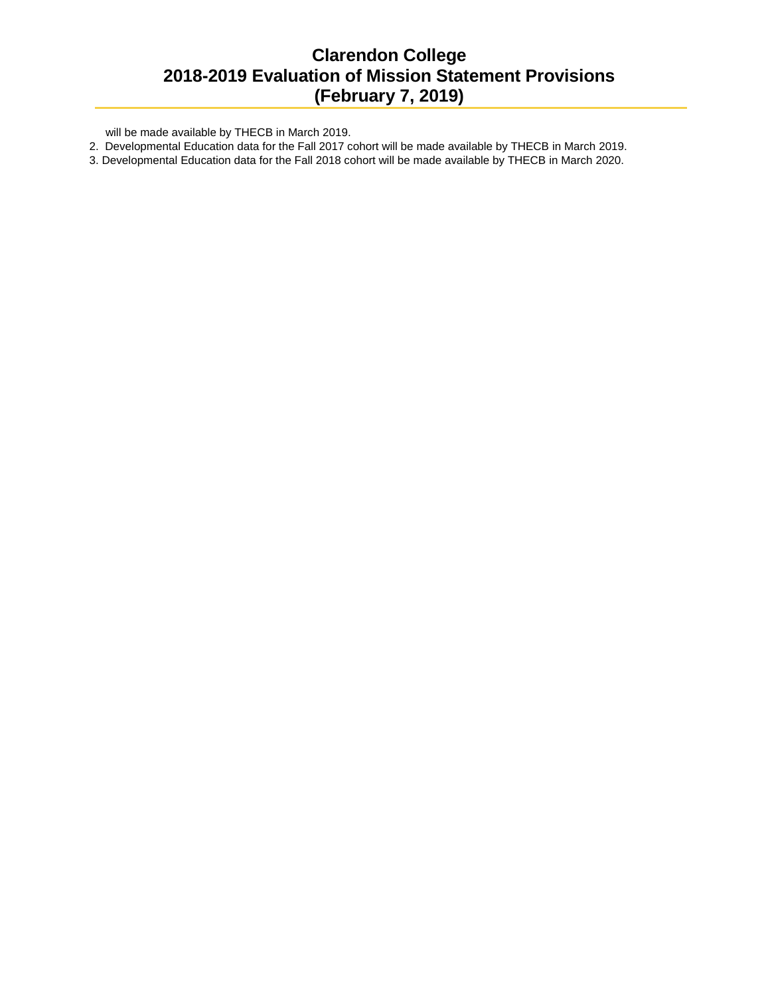will be made available by THECB in March 2019.

- 2. Developmental Education data for the Fall 2017 cohort will be made available by THECB in March 2019.
- 3. Developmental Education data for the Fall 2018 cohort will be made available by THECB in March 2020.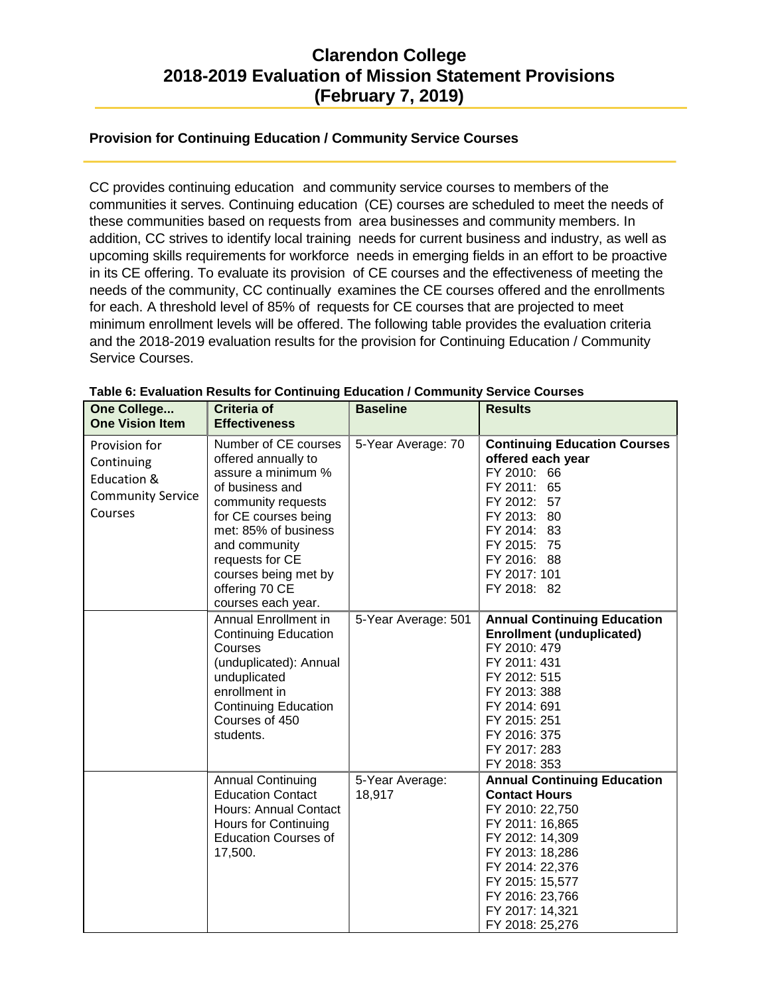#### **Provision for Continuing Education / Community Service Courses**

CC provides continuing education and community service courses to members of the communities it serves. Continuing education (CE) courses are scheduled to meet the needs of these communities based on requests from area businesses and community members. In addition, CC strives to identify local training needs for current business and industry, as well as upcoming skills requirements for workforce needs in emerging fields in an effort to be proactive in its CE offering. To evaluate its provision of CE courses and the effectiveness of meeting the needs of the community, CC continually examines the CE courses offered and the enrollments for each. A threshold level of 85% of requests for CE courses that are projected to meet minimum enrollment levels will be offered. The following table provides the evaluation criteria and the 2018-2019 evaluation results for the provision for Continuing Education / Community Service Courses.

| One College<br><b>One Vision Item</b>                                             | Criteria of<br><b>Effectiveness</b>                                                                                                                                                                                                                            | <b>Baseline</b>           | <b>Results</b>                                                                                                                                                                                                                        |
|-----------------------------------------------------------------------------------|----------------------------------------------------------------------------------------------------------------------------------------------------------------------------------------------------------------------------------------------------------------|---------------------------|---------------------------------------------------------------------------------------------------------------------------------------------------------------------------------------------------------------------------------------|
| Provision for<br>Continuing<br>Education &<br><b>Community Service</b><br>Courses | Number of CE courses<br>offered annually to<br>assure a minimum %<br>of business and<br>community requests<br>for CE courses being<br>met: 85% of business<br>and community<br>requests for CE<br>courses being met by<br>offering 70 CE<br>courses each year. | 5-Year Average: 70        | <b>Continuing Education Courses</b><br>offered each year<br>FY 2010: 66<br>FY 2011: 65<br>FY 2012:<br>57<br>FY 2013: 80<br>FY 2014: 83<br>FY 2015: 75<br>FY 2016: 88<br>FY 2017: 101<br>FY 2018: 82                                   |
|                                                                                   | Annual Enrollment in<br><b>Continuing Education</b><br>Courses<br>(unduplicated): Annual<br>unduplicated<br>enrollment in<br><b>Continuing Education</b><br>Courses of 450<br>students.                                                                        | 5-Year Average: 501       | <b>Annual Continuing Education</b><br><b>Enrollment (unduplicated)</b><br>FY 2010: 479<br>FY 2011: 431<br>FY 2012: 515<br>FY 2013: 388<br>FY 2014: 691<br>FY 2015: 251<br>FY 2016: 375<br>FY 2017: 283<br>FY 2018: 353                |
|                                                                                   | <b>Annual Continuing</b><br><b>Education Contact</b><br><b>Hours: Annual Contact</b><br><b>Hours for Continuing</b><br><b>Education Courses of</b><br>17,500.                                                                                                  | 5-Year Average:<br>18,917 | <b>Annual Continuing Education</b><br><b>Contact Hours</b><br>FY 2010: 22,750<br>FY 2011: 16,865<br>FY 2012: 14,309<br>FY 2013: 18,286<br>FY 2014: 22,376<br>FY 2015: 15,577<br>FY 2016: 23,766<br>FY 2017: 14,321<br>FY 2018: 25,276 |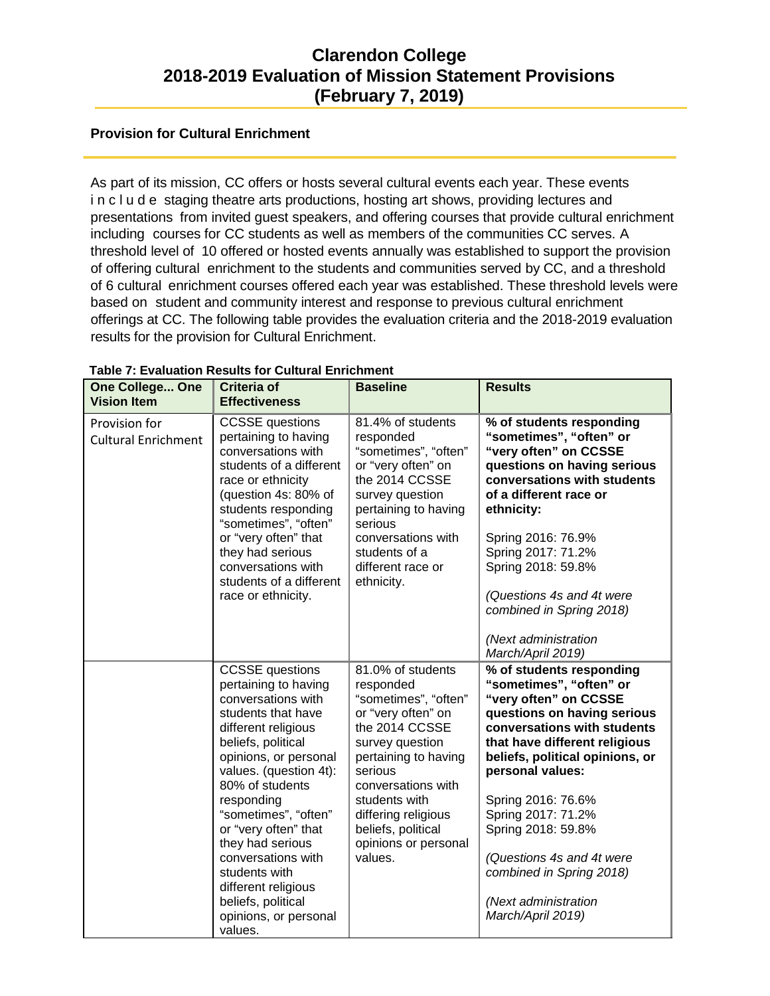#### **Provision for Cultural Enrichment**

As part of its mission, CC offers or hosts several cultural events each year. These events in c I u d e staging theatre arts productions, hosting art shows, providing lectures and presentations from invited guest speakers, and offering courses that provide cultural enrichment including courses for CC students as well as members of the communities CC serves. A threshold level of 10 offered or hosted events annually was established to support the provision of offering cultural enrichment to the students and communities served by CC, and a threshold of 6 cultural enrichment courses offered each year was established. These threshold levels were based on student and community interest and response to previous cultural enrichment offerings at CC. The following table provides the evaluation criteria and the 2018-2019 evaluation results for the provision for Cultural Enrichment.

| <b>One College One</b><br><b>Vision Item</b> | <b>Criteria of</b><br><b>Effectiveness</b>                                                                                                                                                                                                                                                                                                                                                                              | <b>Baseline</b>                                                                                                                                                                                                                                                             | <b>Results</b>                                                                                                                                                                                                                                                                                                                                                                                             |
|----------------------------------------------|-------------------------------------------------------------------------------------------------------------------------------------------------------------------------------------------------------------------------------------------------------------------------------------------------------------------------------------------------------------------------------------------------------------------------|-----------------------------------------------------------------------------------------------------------------------------------------------------------------------------------------------------------------------------------------------------------------------------|------------------------------------------------------------------------------------------------------------------------------------------------------------------------------------------------------------------------------------------------------------------------------------------------------------------------------------------------------------------------------------------------------------|
| Provision for<br><b>Cultural Enrichment</b>  | <b>CCSSE</b> questions<br>pertaining to having<br>conversations with<br>students of a different<br>race or ethnicity<br>(question 4s: 80% of<br>students responding<br>"sometimes", "often"<br>or "very often" that<br>they had serious<br>conversations with<br>students of a different<br>race or ethnicity.                                                                                                          | 81.4% of students<br>responded<br>"sometimes", "often"<br>or "very often" on<br>the 2014 CCSSE<br>survey question<br>pertaining to having<br>serious<br>conversations with<br>students of a<br>different race or<br>ethnicity.                                              | % of students responding<br>"sometimes", "often" or<br>"very often" on CCSSE<br>questions on having serious<br>conversations with students<br>of a different race or<br>ethnicity:<br>Spring 2016: 76.9%<br>Spring 2017: 71.2%<br>Spring 2018: 59.8%<br>(Questions 4s and 4t were<br>combined in Spring 2018)<br>(Next administration<br>March/April 2019)                                                 |
|                                              | <b>CCSSE</b> questions<br>pertaining to having<br>conversations with<br>students that have<br>different religious<br>beliefs, political<br>opinions, or personal<br>values. (question 4t):<br>80% of students<br>responding<br>"sometimes", "often"<br>or "very often" that<br>they had serious<br>conversations with<br>students with<br>different religious<br>beliefs, political<br>opinions, or personal<br>values. | 81.0% of students<br>responded<br>"sometimes", "often"<br>or "very often" on<br>the 2014 CCSSE<br>survey question<br>pertaining to having<br>serious<br>conversations with<br>students with<br>differing religious<br>beliefs, political<br>opinions or personal<br>values. | % of students responding<br>"sometimes", "often" or<br>"very often" on CCSSE<br>questions on having serious<br>conversations with students<br>that have different religious<br>beliefs, political opinions, or<br>personal values:<br>Spring 2016: 76.6%<br>Spring 2017: 71.2%<br>Spring 2018: 59.8%<br>(Questions 4s and 4t were<br>combined in Spring 2018)<br>(Next administration<br>March/April 2019) |

#### **Table 7: Evaluation Results for Cultural Enrichment**